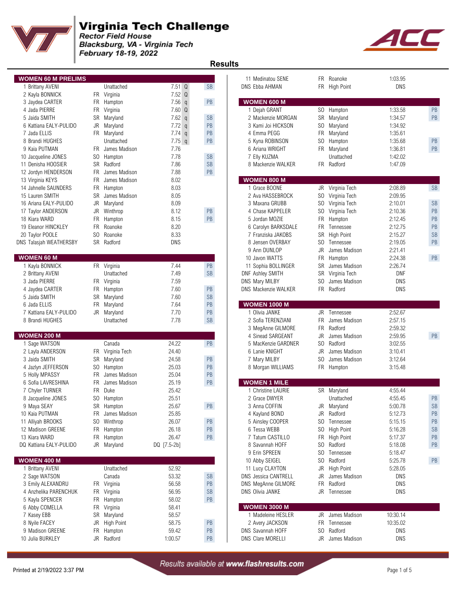

Blacksburg, VA - Virginia Tech<br>February 18-19, 2022



 **Results** 

| <b>WOMEN 60 M PRELIMS</b> |     |                  |                      |                      | 11 Medinatou SENE       |                | FR Roanoke        | 1:03.95    |           |
|---------------------------|-----|------------------|----------------------|----------------------|-------------------------|----------------|-------------------|------------|-----------|
| 1 Brittany AVENI          |     | Unattached       | $7.51 \Omega$        | <b>SB</b>            | <b>DNS Ebba AHMAN</b>   |                | FR High Point     | <b>DNS</b> |           |
| 2 Kayla BONNICK           |     | FR Virginia      | 7.52 Q               |                      |                         |                |                   |            |           |
| 3 Jaydea CARTER           |     | FR Hampton       | $7.56$ q             | PB                   | <b>WOMEN 600 M</b>      |                |                   |            |           |
| 4 Jada PIERRE             | FR  | Virginia         | 7.60 Q               |                      | 1 Dejah GRANT           | SO.            | Hampton           | 1:33.58    | PB        |
| 5 Jaida SMITH             |     | SR Maryland      | 7.62<br>$\mathsf{q}$ | <b>SB</b>            | 2 Mackenzie MORGAN      | SR             | Maryland          | 1:34.57    | PB        |
| 6 Kattiana EALY-PULIDO    |     | JR Maryland      | 7.72q                | PB                   | 3 Kami Joi HICKSON      | SO.            | Maryland          | 1:34.92    |           |
| 7 Jada ELLIS              |     | FR Maryland      | $7.74$ q             | PB                   | 4 Emma PEGG             | <b>FR</b>      | Maryland          | 1:35.61    |           |
|                           |     | Unattached       |                      | PB                   |                         | S <sub>0</sub> |                   | 1:35.68    |           |
| 8 Brandi HUGHES           |     |                  | $7.75$ q             |                      | 5 Kyna ROBINSON         |                | Hampton           |            | PB        |
| 9 Kaia PUTMAN             |     | FR James Madison | 7.76                 |                      | 6 Ariana WRIGHT         |                | FR Maryland       | 1:36.81    | PB        |
| 10 Jacqueline JONES       |     | SO Hampton       | 7.78                 | <b>SB</b>            | 7 Elly KUZMA            |                | Unattached        | 1:42.02    |           |
| 11 Denisha HOOSIER        |     | SR Radford       | 7.86                 | <b>SB</b>            | 8 Mackenzie WALKER      |                | FR Radford        | 1:47.09    |           |
| 12 Jordyn HENDERSON       | FR. | James Madison    | 7.88                 | PB                   |                         |                |                   |            |           |
| 13 Virginia KEYS          | FR. | James Madison    | 8.02                 |                      | <b>WOMEN 800 M</b>      |                |                   |            |           |
| 14 Jahnelle SAUNDERS      | FR  | Hampton          | 8.03                 |                      | 1 Grace BOONE           |                | JR Virginia Tech  | 2:08.89    | <b>SB</b> |
| 15 Lauren SMITH           | SR  | James Madison    | 8.05                 |                      | 2 Ava HASSEBROCK        | SO.            | Virginia Tech     | 2:09.95    |           |
| 16 Ariana EALY-PULIDO     | JR  | Maryland         | 8.09                 |                      | 3 Maxana GRUBB          | SO.            | Virginia Tech     | 2:10.01    | <b>SB</b> |
| 17 Taylor ANDERSON        |     | JR Winthrop      | 8.12                 | PB                   | 4 Chase KAPPELER        | SO.            | Virginia Tech     | 2:10.36    | PB        |
| 18 Kiara WARD             |     | FR Hampton       | 8.15                 | PB                   | 5 Jordan MOZIE          | <b>FR</b>      | Hampton           | 2:12.45    | PB        |
| 19 Eleanor HINCKLEY       | FR. | Roanoke          | 8.20                 |                      | 6 Carolyn BARKSDALE     | FR             | Tennessee         | 2:12.75    | PB        |
| 20 Taylor POOLE           |     | SO Roanoke       | 8.33                 |                      | 7 Franziska JAKOBS      | SR             | <b>High Point</b> | 2:15.27    | <b>SB</b> |
|                           |     | SR Radford       |                      |                      |                         | SO.            |                   |            | PB        |
| DNS Talasjah WEATHERSBY   |     |                  | <b>DNS</b>           |                      | 8 Jensen OVERBAY        |                | Tennessee         | 2:19.05    |           |
|                           |     |                  |                      |                      | 9 Ann DUNLOP            | JR.            | James Madison     | 2:21.41    |           |
| <b>WOMEN 60 M</b>         |     |                  |                      |                      | 10 Javon WATTS          | <b>FR</b>      | Hampton           | 2:24.38    | PB        |
| 1 Kayla BONNICK           |     | FR Virginia      | 7.44                 | PB                   | 11 Sophia BOLLINGER     | SR             | James Madison     | 2:26.74    |           |
| 2 Brittany AVENI          |     | Unattached       | 7.49                 | $\mathsf{SB}\xspace$ | <b>DNF Ashley SMITH</b> | SR             | Virginia Tech     | <b>DNF</b> |           |
| 3 Jada PIERRE             |     | FR Virginia      | 7.59                 |                      | DNS Mary MILBY          | S <sub>0</sub> | James Madison     | <b>DNS</b> |           |
| 4 Jaydea CARTER           |     | FR Hampton       | 7.60                 | PB                   | DNS Mackenzie WALKER    |                | FR Radford        | <b>DNS</b> |           |
| 5 Jaida SMITH             |     | SR Maryland      | 7.60                 | <b>SB</b>            |                         |                |                   |            |           |
| 6 Jada ELLIS              |     | FR Maryland      | 7.64                 | PB                   | <b>WOMEN 1000 M</b>     |                |                   |            |           |
| 7 Kattiana EALY-PULIDO    |     | JR Maryland      | 7.70                 | PB                   | 1 Olivia JANKE          | JR             | Tennessee         | 2:52.67    |           |
| 8 Brandi HUGHES           |     | Unattached       | 7.78                 | $\mathsf{SB}\xspace$ | 2 Sofia TERENZIANI      | <b>FR</b>      | James Madison     | 2:57.15    |           |
|                           |     |                  |                      |                      | 3 MegAnne GILMORE       | FR.            | Radford           | 2:59.32    |           |
| <b>WOMEN 200 M</b>        |     |                  |                      |                      | 4 Sinead SARGEANT       | JR             | James Madison     | 2:59.95    | PB        |
| 1 Sage WATSON             |     | Canada           | 24.22                | <b>PB</b>            | 5 MacKenzie GARDNER     | SO.            | Radford           | 3:02.55    |           |
| 2 Layla ANDERSON          |     | FR Virginia Tech | 24.40                |                      | 6 Lanie KNIGHT          | JR             | James Madison     | 3:10.41    |           |
| 3 Jaida SMITH             |     | SR Maryland      | 24.58                | PB                   | 7 Mary MILBY            | SO.            | James Madison     | 3:12.64    |           |
| 4 Jazlyn JEFFERSON        |     |                  |                      | PB                   |                         |                |                   |            |           |
|                           |     | SO Hampton       | 25.03                | PB                   | 8 Morgan WILLIAMS       |                | FR Hampton        | 3:15.48    |           |
| 5 Holly MPASSY            | FR. | James Madison    | 25.04                |                      |                         |                |                   |            |           |
| 6 Sofia LAVRESHINA        | FR. | James Madison    | 25.19                | PB                   | <b>WOMEN 1 MILE</b>     |                |                   |            |           |
| 7 Chyler TURNER           |     | FR Duke          | 25.42                |                      | 1 Christine LAURIE      |                | SR Maryland       | 4:55.44    |           |
| 8 Jacqueline JONES        |     | SO Hampton       | 25.51                |                      | 2 Grace DWYER           |                | Unattached        | 4:55.45    | PB        |
| 9 Maya SEAY               |     | SR Hampton       | 25.67                | PB                   | 3 Anna COFFIN           |                | JR Maryland       | 5:00.78    | <b>SB</b> |
| 10 Kaia PUTMAN            |     | FR James Madison | 25.85                |                      | 4 Kayland BOND          |                | JR Radford        | 5:12.73    | PB        |
| 11 Alliyah BROOKS         |     | SO Winthrop      | 26.07                | PB                   | 5 Ainsley COOPER        | SO.            | Tennessee         | 5:15.15    | PB        |
| 12 Madison GREENE         |     | FR Hampton       | 26.18                | PB                   | 6 Tessa WEBB            | SO.            | <b>High Point</b> | 5:16.28    | <b>SB</b> |
| 13 Kiara WARD             |     | FR Hampton       | 26.47                | PB                   | 7 Tatum CASTILLO        |                | FR High Point     | 5:17.37    | PB        |
| DQ Kattiana EALY-PULIDO   |     | JR Maryland      | DQ [7.5-2b]          |                      | 8 Savannah HOFF         |                | SO Radford        | 5:18.08    | PB        |
|                           |     |                  |                      |                      | 9 Erin SPREEN           | SO.            | Tennessee         | 5:18.47    |           |
| <b>WOMEN 400 M</b>        |     |                  |                      |                      | 10 Abby SEIGEL          | SO.            | Radford           | 5:25.78    | PB        |
| 1 Brittany AVENI          |     | Unattached       | 52.92                |                      | 11 Lucy CLAYTON         | JR             | <b>High Point</b> | 5:28.05    |           |
| 2 Sage WATSON             |     | Canada           | 53.32                | $\mathsf{SB}\xspace$ | DNS Jessica CANTRELL    | JR             | James Madison     | DNS        |           |
|                           |     |                  |                      |                      |                         |                |                   |            |           |
| 3 Emily ALEXANDRU         |     | FR Virginia      | 56.58                | PB                   | DNS MegAnne GILMORE     | FR.            | Radford           | DNS        |           |
| 4 Anzhelika PARENCHUK     |     | FR Virginia      | 56.95                | $\mathsf{SB}\xspace$ | DNS Olivia JANKE        |                | JR Tennessee      | DNS        |           |
| 5 Kayla SPENCER           |     | FR Hampton       | 58.02                | PB                   |                         |                |                   |            |           |
| 6 Abby COMELLA            |     | FR Virginia      | 58.41                |                      | <b>WOMEN 3000 M</b>     |                |                   |            |           |
| 7 Kasey EBB               |     | SR Maryland      | 58.57                |                      | 1 Madeleine HESLER      | JR             | James Madison     | 10:30.14   |           |
| 8 Nyile FACEY             |     | JR High Point    | 58.75                | PB                   | 2 Avery JACKSON         | FR             | Tennessee         | 10:35.02   |           |
| 9 Madison GREENE          |     | FR Hampton       | 59.42                | PB                   | DNS Savannah HOFF       | S <sub>0</sub> | Radford           | <b>DNS</b> |           |
| 10 Julia BURKLEY          |     | JR Radford       | 1:00.57              | PB                   | DNS Clare MORELLI       |                | JR James Madison  | DNS        |           |
|                           |     |                  |                      |                      |                         |                |                   |            |           |

| <b>OMEN 60 M PRELIMS</b> |           |                  |                   |               | 11 Medinatou SENE           |           | FR Roanoke        | 1:03.95    |                      |
|--------------------------|-----------|------------------|-------------------|---------------|-----------------------------|-----------|-------------------|------------|----------------------|
| 1 Brittany AVENI         |           | Unattached       | $7.51$ Q          | <b>SB</b>     | DNS Ebba AHMAN              |           | FR High Point     | DNS        |                      |
| 2 Kayla BONNICK          |           | FR Virginia      | $7.52$ Q          |               |                             |           |                   |            |                      |
| 3 Jaydea CARTER          | FR        | Hampton          | 7.56 <sub>q</sub> | PB            | <b>WOMEN 600 M</b>          |           |                   |            |                      |
| 4 Jada PIERRE            | FR        | Virginia         | $7.60$ Q          |               | 1 Dejah GRANT               |           | SO Hampton        | 1:33.58    | PB                   |
| 5 Jaida SMITH            | SR        | Maryland         | 7.62 <sub>q</sub> | <b>SB</b>     | 2 Mackenzie MORGAN          | SR        | Maryland          | 1:34.57    | PB                   |
| 6 Kattiana EALY-PULIDO   | JR        | Maryland         | $7.72$ q          | PB            | 3 Kami Joi HICKSON          | SO.       | Maryland          | 1:34.92    |                      |
|                          |           |                  |                   | PB            |                             |           |                   |            |                      |
| 7 Jada ELLIS             |           | FR Maryland      | $7.74$ q          |               | 4 Emma PEGG                 | FR        | Maryland          | 1:35.61    |                      |
| 8 Brandi HUGHES          |           | Unattached       | $7.75$ q          | PB            | 5 Kyna ROBINSON             | SO.       | Hampton           | 1:35.68    | PB                   |
| 9 Kaia PUTMAN            |           | FR James Madison | 7.76              |               | 6 Ariana WRIGHT             | FR        | Maryland          | 1:36.81    | PB                   |
| 0 Jacqueline JONES       | SO.       | Hampton          | 7.78              | <b>SB</b>     | 7 Elly KUZMA                |           | Unattached        | 1:42.02    |                      |
| 1 Denisha HOOSIER        |           | SR Radford       | 7.86              | <b>SB</b>     | 8 Mackenzie WALKER          |           | FR Radford        | 1:47.09    |                      |
| 2 Jordyn HENDERSON       | <b>FR</b> | James Madison    | 7.88              | PB            |                             |           |                   |            |                      |
| 3 Virginia KEYS          | FR        | James Madison    | 8.02              |               | <b>WOMEN 800 M</b>          |           |                   |            |                      |
| 4 Jahnelle SAUNDERS      | FR        | Hampton          | 8.03              |               | 1 Grace BOONE               | JR        | Virginia Tech     | 2:08.89    | <b>SB</b>            |
| 5 Lauren SMITH           | SR        | James Madison    | 8.05              |               | 2 Ava HASSEBROCK            | SO.       | Virginia Tech     | 2:09.95    |                      |
| 6 Ariana EALY-PULIDO     | JR        | Maryland         | 8.09              |               | 3 Maxana GRUBB              | SO.       | Virginia Tech     | 2:10.01    | $\mathsf{SB}\xspace$ |
| 7 Taylor ANDERSON        | JR        | Winthrop         | 8.12              | PB            | 4 Chase KAPPELER            | SO.       | Virginia Tech     | 2:10.36    | $\mathsf{PB}$        |
| 8 Kiara WARD             | FR        | Hampton          | 8.15              | PB            | 5 Jordan MOZIE              | FR        | Hampton           | 2:12.45    | $\mathsf{PB}$        |
| 9 Eleanor HINCKLEY       | FR        | Roanoke          | 8.20              |               | 6 Carolyn BARKSDALE         | FR        | Tennessee         | 2:12.75    | $\mathsf{PB}$        |
| 0 Taylor POOLE           | SO.       | Roanoke          | 8.33              |               | 7 Franziska JAKOBS          | SR        | <b>High Point</b> | 2:15.27    | <b>SB</b>            |
| S Talasjah WEATHERSBY    |           | SR Radford       | <b>DNS</b>        |               | 8 Jensen OVERBAY            | SO.       | Tennessee         | 2:19.05    | PB                   |
|                          |           |                  |                   |               | 9 Ann DUNLOP                | JR        | James Madison     | 2:21.41    |                      |
| <b>OMEN 60 M</b>         |           |                  |                   |               |                             |           | Hampton           |            | PB                   |
|                          |           |                  |                   |               | 10 Javon WATTS              | FR.       |                   | 2:24.38    |                      |
| 1 Kayla BONNICK          |           | FR Virginia      | 7.44              | PB            | 11 Sophia BOLLINGER         | SR        | James Madison     | 2:26.74    |                      |
| 2 Brittany AVENI         |           | Unattached       | 7.49              | SB            | <b>DNF Ashley SMITH</b>     | <b>SR</b> | Virginia Tech     | <b>DNF</b> |                      |
| 3 Jada PIERRE            |           | FR Virginia      | 7.59              |               | DNS Mary MILBY              | SO.       | James Madison     | <b>DNS</b> |                      |
| 4 Jaydea CARTER          | FR        | Hampton          | 7.60              | PB            | <b>DNS Mackenzie WALKER</b> |           | FR Radford        | DNS        |                      |
| 5 Jaida SMITH            | SR        | Maryland         | 7.60              | <b>SB</b>     |                             |           |                   |            |                      |
| 6 Jada ELLIS             | FR        | Maryland         | 7.64              | PB            | <b>WOMEN 1000 M</b>         |           |                   |            |                      |
| 7 Kattiana EALY-PULIDO   |           | JR Maryland      | 7.70              | PB            | 1 Olivia JANKE              |           | JR Tennessee      | 2:52.67    |                      |
| 8 Brandi HUGHES          |           | Unattached       | 7.78              | <b>SB</b>     | 2 Sofia TERENZIANI          | FR.       | James Madison     | 2:57.15    |                      |
|                          |           |                  |                   |               | 3 MegAnne GILMORE           | FR        | Radford           | 2:59.32    |                      |
| <b>OMEN 200 M</b>        |           |                  |                   |               | 4 Sinead SARGEANT           | JR        | James Madison     | 2:59.95    | PB                   |
| 1 Sage WATSON            |           | Canada           | 24.22             | PB            | 5 MacKenzie GARDNER         | SO.       | Radford           | 3:02.55    |                      |
| 2 Layla ANDERSON         |           | FR Virginia Tech | 24.40             |               | 6 Lanie KNIGHT              | JR        | James Madison     | 3:10.41    |                      |
| 3 Jaida SMITH            | SR        | Maryland         | 24.58             | PB            | 7 Mary MILBY                | SO.       | James Madison     | 3:12.64    |                      |
| 4 Jazlyn JEFFERSON       | SO.       | Hampton          | 25.03             | PB            | 8 Morgan WILLIAMS           |           | FR Hampton        | 3:15.48    |                      |
| 5 Holly MPASSY           | FR        | James Madison    | 25.04             | PB            |                             |           |                   |            |                      |
| 6 Sofia LAVRESHINA       | <b>FR</b> | James Madison    | 25.19             | PB            | <b>WOMEN 1 MILE</b>         |           |                   |            |                      |
| 7 Chyler TURNER          | FR        | Duke             | 25.42             |               | 1 Christine LAURIE          |           | SR Maryland       | 4:55.44    |                      |
|                          |           |                  | 25.51             |               | 2 Grace DWYER               |           |                   | 4:55.45    | PB                   |
| 8 Jacqueline JONES       | SO.       | Hampton          |                   |               |                             |           | Unattached        |            |                      |
| 9 Maya SEAY              |           | SR Hampton       | 25.67             | PB            | 3 Anna COFFIN               |           | JR Maryland       | 5:00.78    | <b>SB</b>            |
| 0 Kaia PUTMAN            | FR.       | James Madison    | 25.85             |               | 4 Kayland BOND              | JR        | Radford           | 5:12.73    | PB                   |
| 1 Alliyah BROOKS         | SO.       | Winthrop         | 26.07             | PB            | 5 Ainsley COOPER            | SO.       | Tennessee         | 5:15.15    | PB                   |
| 2 Madison GREENE         | FR        | Hampton          | 26.18             | PB            | 6 Tessa WEBB                | SO.       | <b>High Point</b> | 5:16.28    | <b>SB</b>            |
| 3 Kiara WARD             | FR        | Hampton          | 26.47             | $\mathsf{PB}$ | 7 Tatum CASTILLO            |           | FR High Point     | 5:17.37    | PB                   |
| Q Kattiana EALY-PULIDO   | JR        | Maryland         | DQ [7.5-2b]       |               | 8 Savannah HOFF             | SO.       | Radford           | 5:18.08    | PB                   |
|                          |           |                  |                   |               | 9 Erin SPREEN               | SO.       | Tennessee         | 5:18.47    |                      |
| <b>OMEN 400 M</b>        |           |                  |                   |               | 10 Abby SEIGEL              | SO.       | Radford           | 5:25.78    | PB                   |
| 1 Brittany AVENI         |           | Unattached       | 52.92             |               | 11 Lucy CLAYTON             | JR        | <b>High Point</b> | 5:28.05    |                      |
| 2 Sage WATSON            |           | Canada           | 53.32             | <b>SB</b>     | <b>DNS Jessica CANTRELL</b> | JR        | James Madison     | <b>DNS</b> |                      |
| 3 Emily ALEXANDRU        |           | FR Virginia      | 56.58             | PB            | DNS MegAnne GILMORE         | FR.       | Radford           | <b>DNS</b> |                      |
| 4 Anzhelika PARENCHUK    |           | FR Virginia      | 56.95             | SB            | <b>DNS Olivia JANKE</b>     |           | JR Tennessee      | DNS        |                      |
| 5 Kayla SPENCER          | FR.       | Hampton          | 58.02             | PB            |                             |           |                   |            |                      |
| 6 Abby COMELLA           |           | FR Virginia      | 58.41             |               | <b>WOMEN 3000 M</b>         |           |                   |            |                      |
| 7 Kasey EBB              |           | Maryland         | 58.57             |               | 1 Madeleine HESLER          |           | JR James Madison  | 10:30.14   |                      |
|                          | SR        |                  |                   |               |                             |           |                   |            |                      |
| 8 Nyile FACEY            | JR        | High Point       | 58.75             | PB            | 2 Avery JACKSON             |           | FR Tennessee      | 10:35.02   |                      |
| 9 Madison GREENE         | FR        | Hampton          | 59.42             | $\mathsf{PB}$ | DNS Savannah HOFF           | SO.       | Radford           | DNS        |                      |
| 0 Julia BURKLEY          | JR        | Radford          | 1:00.57           | PB            | <b>DNS Clare MORELLI</b>    |           | JR James Madison  | DNS        |                      |
|                          |           |                  |                   |               |                             |           |                   |            |                      |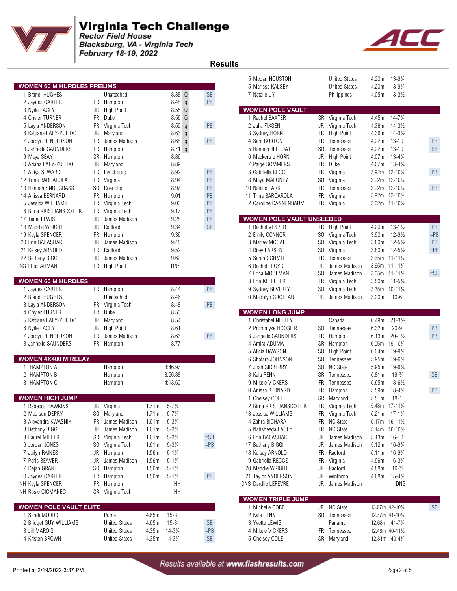

Blacksburg, VA - Virginia Tech February 18-19, 2022



 **Results** 

|                                   |                |                      |       |                     |                      | 5 Megan HOUSTON                  |           | United States        | 4.20m             | $13 - 9\frac{1}{4}$                      |           |
|-----------------------------------|----------------|----------------------|-------|---------------------|----------------------|----------------------------------|-----------|----------------------|-------------------|------------------------------------------|-----------|
| <b>WOMEN 60 M HURDLES PRELIMS</b> |                |                      |       |                     |                      | 5 Marissa KALSEY                 |           | <b>United States</b> | 4.20m             | $13 - 9\frac{1}{4}$                      |           |
| 1 Brandi HUGHES                   |                | Unattached           |       | 8.38 Q              | <b>SB</b>            | 7 Natalie UY                     |           | Philippines          | 4.05m             | $13 - 3\frac{1}{2}$                      |           |
| 2 Jaydea CARTER                   |                | FR Hampton           |       | 8.48 <sub>q</sub>   | PB                   |                                  |           |                      |                   |                                          |           |
| 3 Nyile FACEY                     |                | JR High Point        |       | 8.55 Q              |                      | <b>WOMEN POLE VAULT</b>          |           |                      |                   |                                          |           |
| 4 Chyler TURNER                   | FR             | Duke                 |       | 8.56 Q              |                      | 1 Rachel BAXTER                  |           | SR Virginia Tech     | 4.45m             | $14 - 7\frac{1}{4}$                      |           |
| 5 Layla ANDERSON                  | FR             | Virginia Tech        |       | 8.59q               | PB                   | 2 Julia FIXSEN                   | JR        | Virginia Tech        | 4.36m             | $14 - 3\frac{1}{2}$                      |           |
| 6 Kattiana EALY-PULIDO            |                | JR Maryland          |       | $8.63$ q            |                      | 3 Sydney HORN                    |           | FR High Point        | 4.36m             | $14 - 3\frac{1}{2}$                      |           |
| 7 Jordyn HENDERSON                | <b>FR</b>      | James Madison        |       | 8.68q               | PB                   | 4 Sara BORTON                    | FR.       | Tennessee            | 4.22m             | $13 - 10$                                | PB        |
| 8 Jahnelle SAUNDERS               | FR             | Hampton              |       | $8.71$ q            |                      | 5 Hannah JEFCOAT                 | SR        | Tennessee            | 4.22m             | $13 - 10$                                | <b>SB</b> |
| 9 Maya SEAY                       |                | SR Hampton           |       | 8.86                |                      | 6 Mackenzie HORN                 | JR        | High Point           | 4.07m             | $13 - 4\frac{1}{4}$                      |           |
| 10 Ariana EALY-PULIDO             |                | JR Maryland          |       | 8.89                |                      | 7 Paige SOMMERS                  | FR.       | Duke                 | 4.07m             | $13 - 4\frac{1}{4}$                      |           |
| 11 Aniya SEWARD                   | <b>FR</b>      | Lynchburg            |       | 8.92                | PB                   | 8 Gabriella RECCE                | <b>FR</b> | Virginia             |                   | 3.92m 12-101/4                           | PB        |
| 12 Trina BARCAROLA                | <b>FR</b>      | Virginia             |       | 8.94                | PB                   | 8 Maya MALONEY                   | SO        | Virginia             |                   | 3.92m 12-101/4                           |           |
| 13 Hannah SNODGRASS               | S <sub>0</sub> | Roanoke              |       | 8.97                | PB                   | 10 Natalie LARK                  | <b>FR</b> | Tennessee            |                   | 3.92m 12-101/4                           | PB        |
| 14 Anissa BERNARD                 |                | FR Hampton           |       | 9.01                | PB                   | 11 Trina BARCAROLA               | FR        | Virginia             |                   | 3.92m 12-101/4                           |           |
| 15 Jessica WILLIAMS               |                | FR Virginia Tech     |       | 9.03                | PB                   | 12 Caroline DANNENBAUM           |           | FR Virginia          |                   | 3.62m 11-101/2                           |           |
| 16 Birna KRISTJANSDOTTIR          | FR             | Virginia Tech        |       | 9.17                | PB                   |                                  |           |                      |                   |                                          |           |
| 17 Tiana LEWIS                    | <b>JR</b>      | James Madison        |       | 9.28                | PB                   | <b>WOMEN POLE VAULT UNSEEDED</b> |           |                      |                   |                                          |           |
| 18 Maddie WRIGHT                  | JR             | Radford              |       | 9.34                | $\mathsf{SB}\xspace$ | 1 Rachel VESPER                  |           | FR High Point        | 4.00m             | $13 - 1\frac{1}{2}$                      | PB        |
| 19 Kayla SPENCER                  | <b>FR</b>      | Hampton              |       | 9.36                |                      | 2 Emily CONNOR                   |           | SO Virginia Tech     | 3.90m             | $12 - 9\frac{1}{2}$                      | $=$ PB    |
| 20 Erin BABASHAK                  | JR             | James Madison        |       | 9.45                |                      | 3 Marley MCCALL                  | SO.       | Virginia Tech        | 3.80m             | $12 - 5\frac{1}{2}$                      | PB        |
| 21 Kelsey ARNOLD                  | <b>FR</b>      | Radford              |       | 9.52                |                      | 4 Riley LARSEN                   | SO.       | Virginia             | 3.80m             | $12 - 5\frac{1}{2}$                      | $=$ PB    |
| 22 Bethany BIGGI                  | JR             | James Madison        |       | 9.62                |                      | 5 Sarah SCHMITT                  | FR.       | Tennessee            |                   | 3.65m 11-11 <sup>3</sup> / <sub>4</sub>  |           |
| <b>DNS Ebba AHMAN</b>             |                | FR High Point        |       | <b>DNS</b>          |                      | 6 Rachel LLOYD                   | JR.       | James Madison        |                   | 3.65m 11-11 <sup>3</sup> / <sub>4</sub>  |           |
|                                   |                |                      |       |                     |                      | 7 Erica MOOLMAN                  | SO.       | James Madison        |                   | 3.65m 11-11 <sup>3</sup> / <sub>4</sub>  | $=$ SB    |
| <b>WOMEN 60 M HURDLES</b>         |                |                      |       |                     |                      | 8 Erin KELLEHER                  | FR.       | Virginia Tech        | 3.50 <sub>m</sub> | $11 - 5\frac{3}{4}$                      |           |
| 1 Jaydea CARTER                   |                | FR Hampton           |       | 8.44                | PB                   | 9 Sydney BEVERLY                 | SO.       | Virginia Tech        |                   | 3.35m 10-11 <sup>3</sup> / <sub>4</sub>  |           |
|                                   |                | Unattached           |       |                     |                      |                                  |           |                      | 3.20m             | $10 - 6$                                 |           |
| 2 Brandi HUGHES                   |                |                      |       | 8.46                |                      | 10 Madolyn CROTEAU               |           | JR James Madison     |                   |                                          |           |
| 3 Layla ANDERSON                  |                | FR Virginia Tech     |       | 8.48                | PB                   | <b>WOMEN LONG JUMP</b>           |           |                      |                   |                                          |           |
| 4 Chyler TURNER                   | <b>FR</b>      | Duke                 |       | 8.50                |                      |                                  |           |                      |                   |                                          |           |
| 5 Kattiana EALY-PULIDO            |                | JR Maryland          |       | 8.54                |                      | 1 Christabel NETTEY              |           | Canada               | 6.49m             | $21 - 3\frac{1}{2}$                      |           |
| 6 Nyile FACEY                     |                | JR High Point        |       | 8.61                |                      | 2 Prommyse HOOSIER               |           | SO Tennessee         | 6.32m             | $20 - 9$                                 | PB        |
| 7 Jordyn HENDERSON                |                | FR James Madison     |       | 8.63                | $\mathsf{PB}$        | 3 Jahnelle SAUNDERS              | FR        | Hampton              | 6.13m             | $20 - 1\frac{1}{2}$                      | PB        |
| 8 Jahnelle SAUNDERS               |                | FR Hampton           |       | 8.77                |                      | 4 Amira ADUMA                    |           | SR Hampton           | 6.06m             | 19-10 <sup>3</sup> / <sub>4</sub>        |           |
|                                   |                |                      |       |                     |                      | 5 Alicia DAWSON                  | SO.       | <b>High Point</b>    | 6.04m             | $19 - 9\frac{3}{4}$                      |           |
| <b>WOMEN 4X400 M RELAY</b>        |                |                      |       |                     |                      | 6 Shatara JOHNSON                | SO.       | Tennessee            | 5.95m             | $19 - 6\frac{1}{4}$                      |           |
| 1 HAMPTON A                       |                | Hampton              |       | 3:46.97             |                      | 7 Jirah SIDBERRY                 | SO.       | <b>NC State</b>      | 5.95m             | $19 - 6\frac{1}{4}$                      |           |
| 2 HAMPTON B                       |                | Hampton              |       | 3:56.88             |                      | 8 Kala PENN                      | SR        | Tennessee            | 5.81m             | $19-3/4$                                 | SB        |
| 3 HAMPTON C                       |                | Hampton              |       | 4:13.60             |                      | 9 Mikele VICKERS                 | FR.       | Tennessee            | 5.65m             | $18 - 6\frac{1}{2}$                      |           |
|                                   |                |                      |       |                     |                      | 10 Anissa BERNARD                | FR        | Hampton              | 5.59m             | $18 - 4\frac{1}{4}$                      | PB        |
| <b>WOMEN HIGH JUMP</b>            |                |                      |       |                     |                      | 11 Chelsey COLE                  | SR        | Maryland             | 5.51m             | $18 - 1$                                 |           |
| 1 Rebecca HAWKINS                 |                | JR Virginia          | 1.71m | $5 - 7\frac{1}{4}$  |                      | 12 Birna KRISTJANSDOTTIR         |           | FR Virginia Tech     |                   | 5.48m 17-11 <sup>3</sup> / <sub>4</sub>  |           |
| 2 Madison DEPRY                   |                | SO Maryland          | 1.71m | $5 - 7\frac{1}{4}$  |                      | 13 Jessica WILLIAMS              |           | FR Virginia lech     | 5.21m             | $17 - 1\frac{1}{4}$                      |           |
| 3 Alexandra KWASNIK               | FR             | James Madison        | 1.61m | $5 - 3\frac{1}{4}$  |                      | 14 Zahra BICHARA                 |           | FR NC State          |                   | 5.17m 16-111/2                           |           |
| 3 Bethany BIGGI                   | JR             | James Madison        | 1.61m | $5 - 3\frac{1}{4}$  |                      | 15 Nahsheeda FACEY               |           | FR NC State          |                   | 5.14m 16-101/2                           |           |
| 3 Laurel MILLER                   |                | SR Virginia Tech     | 1.61m | $5 - 3\frac{1}{4}$  | $=SB$                | 16 Erin BABASHAK                 | JR        | James Madison        | 5.13m             | $16 - 10$                                |           |
| 6 Jordan JONES                    | SO.            | Virginia Tech        | 1.61m | $5 - 3\frac{1}{4}$  | $=$ PB               | 17 Bethany BIGGI                 | JR        | James Madison        | 5.12m             | $16 - 9\frac{3}{4}$                      |           |
| 7 Jailyn RAINES                   | JR             | Hampton              | 1.56m | $5 - 1\frac{1}{4}$  |                      | 18 Kelsey ARNOLD                 | FR        | Radford              | 5.11m             | $16 - 9\frac{1}{4}$                      |           |
| 7 Paris BEAVER                    | JR             | James Madison        | 1.56m | $5 - 1\frac{1}{4}$  |                      | 19 Gabriella RECCE               | <b>FR</b> | Virginia             | 4.96m             | $16 - 3\frac{1}{4}$                      |           |
| 7 Dejah GRANT                     | S <sub>0</sub> | Hampton              | 1.56m | $5 - 1\frac{1}{4}$  |                      | 20 Maddie WRIGHT                 |           | JR Radford           | 4.88m             | $16 - \frac{1}{4}$                       |           |
| 10 Jaydea CARTER                  |                | FR Hampton           | 1.56m | $5 - 1\frac{1}{4}$  | PB                   | 21 Taylor ANDERSON               | JR        | Winthrop             | 4.68m             | $15 - 4\frac{1}{4}$                      |           |
| NH Kayla SPENCER                  |                | FR Hampton           |       | <b>NH</b>           |                      | DNS Dardlie LEFEVRE              | JR        | James Madison        |                   | DNS                                      |           |
| NH Rosie CICMANEC                 |                | SR Virginia Tech     |       | NΗ                  |                      |                                  |           |                      |                   |                                          |           |
|                                   |                |                      |       |                     |                      | <b>WOMEN TRIPLE JUMP</b>         |           |                      |                   |                                          |           |
| <b>WOMEN POLE VAULT ELITE</b>     |                |                      |       |                     |                      | 1 Michelle COBB                  |           | JR NC State          |                   | 13.07m 42-10 <sup>3</sup> / <sub>4</sub> | <b>SB</b> |
| 1 Sandi MORRIS                    |                | Puma                 | 4.65m | $15 - 3$            |                      | 2 Kala PENN                      |           | SR Tennessee         |                   | 12.77m 41-10 <sup>3</sup> / <sub>4</sub> |           |
| 2 Bridget GUY WILLIAMS            |                | <b>United States</b> | 4.65m | $15 - 3$            | $\mathsf{SB}\xspace$ | 3 Yvette LEWIS                   |           | Panama               |                   | 12.68m 41-71/4                           |           |
| 3 Jill MAROIS                     |                | <b>United States</b> | 4.35m | $14 - 3\frac{1}{4}$ | $=$ PB               | 4 Mikele VICKERS                 |           | FR Tennessee         |                   | 12.48m 40-111/2                          |           |
| 4 Kristen BROWN                   |                | <b>United States</b> | 4.35m | $14 - 3\frac{1}{4}$ | <b>SB</b>            | 5 Chelsey COLE                   |           | SR Maryland          |                   | $12.31m$ $40-4\frac{3}{4}$               |           |
|                                   |                |                      |       |                     |                      |                                  |           |                      |                   |                                          |           |

|                                  |           |                      |                   |                     |                |               | 5 Megan HOUSTON                  |           | <b>United States</b> | 4.20m             | $13 - 9\frac{1}{4}$                      |               |
|----------------------------------|-----------|----------------------|-------------------|---------------------|----------------|---------------|----------------------------------|-----------|----------------------|-------------------|------------------------------------------|---------------|
| <b>OMEN 60 M HURDLES PRELIMS</b> |           |                      |                   |                     |                |               | 5 Marissa KALSEY                 |           | <b>United States</b> | 4.20m             | $13 - 9\frac{1}{4}$                      |               |
| 1 Brandi HUGHES                  |           | Unattached           |                   | 8.38 Q              |                | <b>SB</b>     | 7 Natalie UY                     |           | Philippines          | 4.05m             | $13 - 3\frac{1}{2}$                      |               |
| 2 Jaydea CARTER                  | FR.       | Hampton              |                   | 8.48                | $\mathfrak{q}$ | PB            |                                  |           |                      |                   |                                          |               |
| 3 Nyile FACEY                    | JR        | <b>High Point</b>    |                   | 8.55                | Q              |               | <b>WOMEN POLE VAULT</b>          |           |                      |                   |                                          |               |
| 4 Chyler TURNER                  | FR        | Duke                 |                   | 8.56                | Q              |               | 1 Rachel BAXTER                  |           | SR Virginia Tech     | 4.45m             | $14 - 7\frac{1}{4}$                      |               |
| 5 Layla ANDERSON                 | FR.       | Virginia Tech        |                   | 8.59                | $\mathsf{q}$   | PB            | 2 Julia FIXSEN                   | JR        | Virginia Tech        | 4.36m             | $14 - 3\frac{1}{2}$                      |               |
| 6 Kattiana EALY-PULIDO           | JR        | Maryland             |                   | 8.63                | $\mathsf{q}$   |               | 3 Sydney HORN                    | FR.       | <b>High Point</b>    | 4.36m             | $14 - 3\frac{1}{2}$                      |               |
| 7 Jordyn HENDERSON               | FR        | James Madison        |                   | 8.68                | $\mathsf{q}$   | PB            | 4 Sara BORTON                    | FR.       | Tennessee            | 4.22m             | $13 - 10$                                | $\mathsf{PB}$ |
| 8 Jahnelle SAUNDERS              | FR        | Hampton              |                   | $8.71$ q            |                |               | 5 Hannah JEFCOAT                 | <b>SR</b> | Tennessee            | 4.22m             | $13 - 10$                                | <b>SB</b>     |
| 9 Maya SEAY                      | SR        | Hampton              |                   | 8.86                |                |               | 6 Mackenzie HORN                 | JR        | High Point           | 4.07m             | $13 - 4\frac{1}{4}$                      |               |
| 0 Ariana EALY-PULIDO             | JR        | Maryland             |                   | 8.89                |                |               | 7 Paige SOMMERS                  | FR.       | Duke                 | 4.07m             | $13 - 4\frac{1}{4}$                      |               |
| 1 Aniya SEWARD                   | <b>FR</b> | Lynchburg            |                   | 8.92                |                | PB            | 8 Gabriella RECCE                | <b>FR</b> | Virginia             |                   | 3.92m 12-101/4                           | PB            |
| 2 Trina BARCAROLA                | FR        | Virginia             |                   | 8.94                |                | PB            | 8 Maya MALONEY                   | SO.       | Virginia             |                   | 3.92m 12-101/4                           |               |
| 3 Hannah SNODGRASS               | SO.       | Roanoke              |                   | 8.97                |                | PB            | 10 Natalie LARK                  | <b>FR</b> | Tennessee            |                   | 3.92m 12-101/4                           | PB            |
| 4 Anissa BERNARD                 | FR        | Hampton              |                   | 9.01                |                | PB            | 11 Trina BARCAROLA               | <b>FR</b> | Virginia             |                   | 3.92m 12-101/4                           |               |
| 5 Jessica WILLIAMS               | <b>FR</b> | Virginia Tech        |                   | 9.03                |                | PB            | 12 Caroline DANNENBAUM           |           | FR Virginia          |                   | 3.62m 11-101/2                           |               |
| 6 Birna KRISTJANSDOTTIR          | FR        | Virginia Tech        |                   | 9.17                |                | PB            |                                  |           |                      |                   |                                          |               |
| 7 Tiana LEWIS                    | JR        | James Madison        |                   | 9.28                |                | $\mathsf{PB}$ | <b>WOMEN POLE VAULT UNSEEDED</b> |           |                      |                   |                                          |               |
| 8 Maddie WRIGHT                  | JR        | Radford              |                   | 9.34                |                | <b>SB</b>     | 1 Rachel VESPER                  |           | FR High Point        | 4.00m             | $13 - 1\frac{1}{2}$                      | <b>PB</b>     |
| 9 Kayla SPENCER                  | <b>FR</b> | Hampton              |                   | 9.36                |                |               | 2 Emily CONNOR                   |           | SO Virginia Tech     | 3.90m             | $12 - 9\frac{1}{2}$                      | $=$ PB        |
| 0 Erin BABASHAK                  | JR        | James Madison        |                   | 9.45                |                |               | 3 Marley MCCALL                  | SO.       | Virginia Tech        | 3.80m             | $12 - 5\frac{1}{2}$                      | PB            |
| 1 Kelsey ARNOLD                  | FR        | Radford              |                   | 9.52                |                |               | 4 Riley LARSEN                   | SO.       |                      | 3.80m             | $12 - 5\frac{1}{2}$                      | $=$ PB        |
|                                  |           |                      |                   |                     |                |               |                                  |           | Virginia             |                   | 3.65m 11-11 <sup>3</sup> / <sub>4</sub>  |               |
| 2 Bethany BIGGI                  | JR        | James Madison        |                   | 9.62                |                |               | 5 Sarah SCHMITT                  | FR.       | Tennessee            |                   | 3.65m 11-11 <sup>3</sup> / <sub>4</sub>  |               |
| S Ebba AHMAN                     |           | FR High Point        |                   | DNS                 |                |               | 6 Rachel LLOYD                   | JR        | James Madison        |                   |                                          |               |
|                                  |           |                      |                   |                     |                |               | 7 Erica MOOLMAN                  | SO.       | James Madison        |                   | 3.65m 11-11 <sup>3</sup> / <sub>4</sub>  | $=SB$         |
| <b>OMEN 60 M HURDLES</b>         |           |                      |                   |                     |                |               | 8 Erin KELLEHER                  | FR        | Virginia Tech        | 3.50 <sub>m</sub> | $11 - 5\frac{3}{4}$                      |               |
| 1 Jaydea CARTER                  |           | FR Hampton           |                   | 8.44                |                | PB            | 9 Sydney BEVERLY                 | SO.       | Virginia Tech        |                   | 3.35m 10-11 <sup>3</sup> / <sub>4</sub>  |               |
| 2 Brandi HUGHES                  |           | Unattached           |                   | 8.46                |                |               | 10 Madolyn CROTEAU               | JR        | James Madison        | 3.20m             | $10 - 6$                                 |               |
| 3 Layla ANDERSON                 | FR.       | Virginia Tech        |                   | 8.48                |                | PB            |                                  |           |                      |                   |                                          |               |
| 4 Chyler TURNER                  | FR        | Duke                 |                   | 8.50                |                |               | <b>WOMEN LONG JUMP</b>           |           |                      |                   |                                          |               |
| 5 Kattiana EALY-PULIDO           | JR        | Maryland             |                   | 8.54                |                |               | 1 Christabel NETTEY              |           | Canada               | 6.49m             | $21 - 3\frac{1}{2}$                      |               |
| 6 Nyile FACEY                    | JR        | High Point           |                   |                     |                |               |                                  |           |                      |                   | $20 - 9$                                 | PB            |
|                                  |           |                      |                   | 8.61                |                |               | 2 Prommyse HOOSIER               |           | SO Tennessee         | 6.32m             |                                          |               |
| 7 Jordyn HENDERSON               | FR        | James Madison        |                   | 8.63                |                | PB            | 3 Jahnelle SAUNDERS              | FR        | Hampton              | 6.13m             | $20 - 1\frac{1}{2}$                      | PB            |
| 8 Jahnelle SAUNDERS              | FR        | Hampton              |                   | 8.77                |                |               | 4 Amira ADUMA                    | SR        | Hampton              |                   | 6.06m 19-10 <sup>3</sup> / <sub>4</sub>  |               |
|                                  |           |                      |                   |                     |                |               | 5 Alicia DAWSON                  | SO.       | High Point           | 6.04m             | $19 - 9\frac{3}{4}$                      |               |
| OMEN 4X400 M RELAY               |           |                      |                   |                     |                |               | 6 Shatara JOHNSON                | SO.       | Tennessee            | 5.95m             | $19 - 6\frac{1}{4}$                      |               |
| <b>HAMPTON A</b>                 |           | Hampton              |                   | 3:46.97             |                |               | 7 Jirah SIDBERRY                 | SO.       | <b>NC State</b>      | 5.95m             | $19 - 6\frac{1}{4}$                      |               |
| 2 HAMPTON B                      |           | Hampton              |                   | 3:56.88             |                |               | 8 Kala PENN                      | SR        | Tennessee            | 5.81m             | $19-3/4$                                 | SB            |
| 3 HAMPTON C                      |           | Hampton              |                   | 4:13.60             |                |               | 9 Mikele VICKERS                 | FR        | Tennessee            | 5.65m             | $18 - 6\frac{1}{2}$                      |               |
|                                  |           |                      |                   |                     |                |               | 10 Anissa BERNARD                |           | FR Hampton           | 5.59m             | $18 - 4\frac{1}{4}$                      | PB            |
| <b>OMEN HIGH JUMP</b>            |           |                      |                   |                     |                |               | 11 Chelsey COLE                  |           | SR Maryland          | 5.51m             | $18 - 1$                                 |               |
| 1 Rebecca HAWKINS                |           | JR Virginia          |                   | $1.71m$ 5-71/4      |                |               | 12 Birna KRISTJANSDOTTIR         |           | FR Virginia Tech     |                   | 5.48m 17-11 <sup>3</sup> / <sub>4</sub>  |               |
| 2 Madison DEPRY                  | SO.       | Maryland             | 1.71m             | $5 - 7\frac{1}{4}$  |                |               | 13 Jessica WILLIAMS              |           | FR Virginia Tech     |                   | $5.21m$ 17-11/4                          |               |
| 3 Alexandra KWASNIK              | FR.       | James Madison        | 1.61 <sub>m</sub> | $5 - 3\frac{1}{4}$  |                |               | 14 Zahra BICHARA                 |           | FR NC State          |                   | 5.17m 16-111/2                           |               |
| 3 Bethany BIGGI                  | JR        | James Madison        | 1.61 <sub>m</sub> | $5 - 3\frac{1}{4}$  |                |               | 15 Nahsheeda FACEY               | FR        | <b>NC State</b>      |                   | 5.14m 16-101/2                           |               |
| 3 Laurel MILLER                  |           | SR Virginia Tech     | 1.61 <sub>m</sub> | $5 - 3\frac{1}{4}$  |                | $=$ SB        | 16 Erin BABASHAK                 | JR        | James Madison        | 5.13m             | $16 - 10$                                |               |
| 6 Jordan JONES                   |           | SO Virginia Tech     | 1.61 <sub>m</sub> | $5 - 3\frac{1}{4}$  |                | $=$ PB        | 17 Bethany BIGGI                 | JR        | James Madison        | 5.12m             | $16 - 9\frac{3}{4}$                      |               |
| 7 Jailyn RAINES                  | JR        | Hampton              | 1.56m             | $5 - 1\frac{1}{4}$  |                |               | 18 Kelsey ARNOLD                 | FR        | Radford              | 5.11m             | $16 - 9\frac{1}{4}$                      |               |
| 7 Paris BEAVER                   | JR        | James Madison        | 1.56m             | $5 - 1\frac{1}{4}$  |                |               | 19 Gabriella RECCE               | FR        | Virginia             | 4.96m             | $16 - 3\frac{1}{4}$                      |               |
| 7 Dejah GRANT                    | SO.       | Hampton              | 1.56m             | $5 - 1\frac{1}{4}$  |                |               | 20 Maddie WRIGHT                 | JR        | Radford              | 4.88m             | $16 - \frac{1}{4}$                       |               |
| 0 Jaydea CARTER                  | FR        | Hampton              | 1.56m             | $5 - 1\frac{1}{4}$  |                | PB            | 21 Taylor ANDERSON               | JR        | Winthrop             | 4.68m             | $15 - 4\frac{1}{4}$                      |               |
| H Kayla SPENCER                  | FR.       | Hampton              |                   | NΗ                  |                |               | <b>DNS Dardlie LEFEVRE</b>       | JR        | James Madison        |                   | DNS                                      |               |
| <b>H Rosie CICMANEC</b>          |           | SR Virginia Tech     |                   | NΗ                  |                |               |                                  |           |                      |                   |                                          |               |
|                                  |           |                      |                   |                     |                |               | <b>WOMEN TRIPLE JUMP</b>         |           |                      |                   |                                          |               |
| <b>OMEN POLE VAULT ELITE</b>     |           |                      |                   |                     |                |               | 1 Michelle COBB                  |           | JR NC State          |                   | 13.07m 42-10 <sup>3</sup> / <sub>4</sub> | SB            |
| 1 Sandi MORRIS                   |           | Puma                 | 4.65m             | $15 - 3$            |                |               | 2 Kala PENN                      |           | SR Tennessee         |                   | 12.77m 41-10 <sup>3</sup> / <sub>4</sub> |               |
| 2 Bridget GUY WILLIAMS           |           | <b>United States</b> | 4.65m             | $15 - 3$            |                | <b>SB</b>     | 3 Yvette LEWIS                   |           | Panama               |                   | 12.68m 41-71/4                           |               |
| 3 Jill MAROIS                    |           | <b>United States</b> | 4.35m             | $14 - 3\frac{1}{4}$ |                | $=$ PB        | 4 Mikele VICKERS                 |           | FR Tennessee         |                   | 12.48m 40-111/2                          |               |
| 4 Kristen BROWN                  |           | <b>United States</b> | 4.35m             | 14-3¼               |                | <b>SB</b>     | 5 Chelsey COLE                   |           | SR Maryland          |                   | $12.31m$ $40-4\frac{3}{4}$               |               |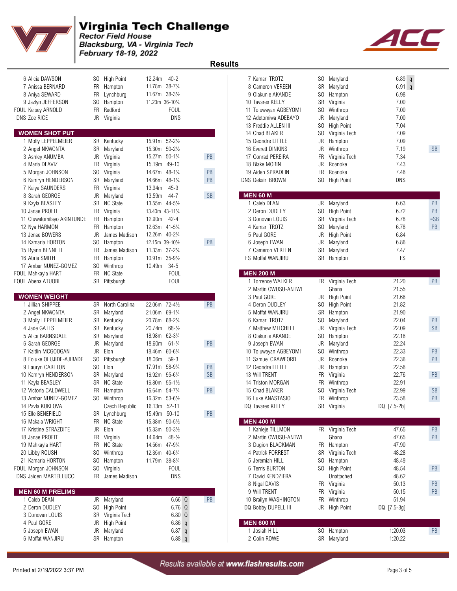

 **Results** 

Blacksburg, VA - Virginia Tech February 18-19, 2022

| 6 Alicia DAWSON<br>7 Anissa BERNARD<br>8 Aniya SEWARD<br>9 Jazlyn JEFFERSON<br>FOUL Kelsey ARNOLD<br><b>DNS Zoe RICE</b><br><b>WOMEN SHOT PUT</b><br>1 Molly LEPPELMEIER<br>2 Angel NKWONTA<br>3 Ashley ANUMBA | FR<br>SO.<br><b>FR</b> | SO High Point<br>FR Hampton<br>Lynchburg<br>Hampton<br>Radford<br>JR Virginia<br>SR Kentucky<br>SR Maryland<br>JR Virginia | 12.24m 40-2<br>11.78m 38-7 <sup>3</sup> / <sub>4</sub><br>11.67m 38-31/2<br>11.23m 36-101/4<br><b>FOUL</b><br>DNS<br>15.91m 52-21/2<br>15.30m 50-21/2<br>15.27m 50-11/4 | PB            | 7 Kamari TROTZ<br>8 Cameron VEREEN<br>9 Olakunle AKANDE<br>10 Tavares KELLY<br>11 Toluwayan AGBEYOMI<br>12 Adetomiwa ADEBAYO<br>13 Freddie ALLEN III<br>14 Chad BLAKER<br>15 Deondre LITTLE<br>16 Everett DINKINS<br>17 Conrad PEREIRA | SO.<br>SO.<br>JR<br>SO.<br>JR<br>FR | SO Maryland<br>SR Maryland<br>Hampton<br>SR Virginia<br>Winthrop<br>Maryland<br>SO High Point<br>Virginia Tech<br>Hampton<br>JR Winthrop<br>Virginia Tech | 6.89q<br>$6.91$ q<br>6.98<br>7.00<br>7.00<br>7.00<br>7.04<br>7.09<br>7.09<br>7.19<br>7.34 | <b>SB</b>       |
|----------------------------------------------------------------------------------------------------------------------------------------------------------------------------------------------------------------|------------------------|----------------------------------------------------------------------------------------------------------------------------|-------------------------------------------------------------------------------------------------------------------------------------------------------------------------|---------------|----------------------------------------------------------------------------------------------------------------------------------------------------------------------------------------------------------------------------------------|-------------------------------------|-----------------------------------------------------------------------------------------------------------------------------------------------------------|-------------------------------------------------------------------------------------------|-----------------|
| 4 Maria DEAVIZ                                                                                                                                                                                                 |                        | FR Virginia                                                                                                                | 49-10<br>15.19m                                                                                                                                                         |               | 18 Blake MORIN                                                                                                                                                                                                                         | JR                                  | Roanoke                                                                                                                                                   | 7.43                                                                                      |                 |
| 5 Morgan JOHNSON                                                                                                                                                                                               |                        | SO Virginia                                                                                                                | 14.67m 48-11/4                                                                                                                                                          | PB            | 19 Aiden SPRADLIN                                                                                                                                                                                                                      | FR                                  | Roanoke                                                                                                                                                   | 7.46                                                                                      |                 |
| 6 Kamryn HENDERSON                                                                                                                                                                                             |                        | SR Maryland                                                                                                                | 14.66m 48-11/4                                                                                                                                                          | PB            | <b>DNS Dekairi BROWN</b>                                                                                                                                                                                                               |                                     | SO High Point                                                                                                                                             | DNS                                                                                       |                 |
| 7 Kaiya SAUNDERS                                                                                                                                                                                               |                        | FR Virginia                                                                                                                | 13.94m<br>$45 - 9$                                                                                                                                                      |               |                                                                                                                                                                                                                                        |                                     |                                                                                                                                                           |                                                                                           |                 |
| 8 Sarah GEORGE                                                                                                                                                                                                 | JR                     | Maryland                                                                                                                   | 13.59m<br>44-7                                                                                                                                                          | <b>SB</b>     | <b>MEN 60 M</b>                                                                                                                                                                                                                        |                                     |                                                                                                                                                           |                                                                                           |                 |
| 9 Kayla BEASLEY                                                                                                                                                                                                |                        | SR NC State                                                                                                                | 13.55m 44-51/2                                                                                                                                                          |               | 1 Caleb DEAN                                                                                                                                                                                                                           |                                     | JR Maryland                                                                                                                                               | 6.63                                                                                      | PB              |
| 10 Janae PROFIT                                                                                                                                                                                                |                        | FR Virginia                                                                                                                | 13.40m 43-11 <sup>3</sup> / <sub>4</sub>                                                                                                                                |               | 2 Deron DUDLEY                                                                                                                                                                                                                         |                                     | SO High Point                                                                                                                                             | 6.72                                                                                      | PB              |
| 11 Oluwatomilayo AKINTUNDE                                                                                                                                                                                     |                        | FR Hampton                                                                                                                 | 12.90m<br>42-4                                                                                                                                                          |               | 3 Donovan LOUIS<br>4 Kamari TROTZ                                                                                                                                                                                                      |                                     | SR Virginia Tech                                                                                                                                          | 6.78                                                                                      | $=$ SB          |
| 12 Nya HARMON<br>13 Jenae BOWERS                                                                                                                                                                               | JR                     | FR Hampton<br>James Madison                                                                                                | 12.63m 41-51/4<br>12.26m 40-23/4                                                                                                                                        |               | 5 Paul GORE                                                                                                                                                                                                                            | SO.                                 | Maryland<br>JR High Point                                                                                                                                 | 6.78<br>6.84                                                                              | <b>PB</b>       |
| 14 Kamaria HORTON                                                                                                                                                                                              | SO.                    | Hampton                                                                                                                    | 12.15m 39-101/2                                                                                                                                                         | PB            | 6 Joseph EWAN                                                                                                                                                                                                                          | JR                                  | Maryland                                                                                                                                                  | 6.86                                                                                      |                 |
| 15 Ryann BENNETT                                                                                                                                                                                               | FR.                    | James Madison                                                                                                              | 11.33m 37-21/4                                                                                                                                                          |               | 7 Cameron VEREEN                                                                                                                                                                                                                       | SR                                  | Maryland                                                                                                                                                  | 7.47                                                                                      |                 |
| 16 Abria SMITH                                                                                                                                                                                                 | FR                     | Hampton                                                                                                                    | $35 - 9\frac{1}{2}$<br>10.91m                                                                                                                                           |               | FS Moffat WANJIRU                                                                                                                                                                                                                      |                                     | SR Hampton                                                                                                                                                | FS                                                                                        |                 |
| 17 Ambar NUNEZ-GOMEZ                                                                                                                                                                                           |                        | SO Winthrop                                                                                                                | 10.49m<br>$34-5$                                                                                                                                                        |               |                                                                                                                                                                                                                                        |                                     |                                                                                                                                                           |                                                                                           |                 |
| FOUL Mahkayla HART                                                                                                                                                                                             |                        | FR NC State                                                                                                                | <b>FOUL</b>                                                                                                                                                             |               | <b>MEN 200 M</b>                                                                                                                                                                                                                       |                                     |                                                                                                                                                           |                                                                                           |                 |
| FOUL Abena ATUOBI                                                                                                                                                                                              |                        | SR Pittsburgh                                                                                                              | <b>FOUL</b>                                                                                                                                                             |               | 1 Torrence WALKER                                                                                                                                                                                                                      |                                     | FR Virginia Tech                                                                                                                                          | 21.20                                                                                     | PB              |
|                                                                                                                                                                                                                |                        |                                                                                                                            |                                                                                                                                                                         |               | 2 Martin OWUSU-ANTWI                                                                                                                                                                                                                   |                                     | Ghana                                                                                                                                                     | 21.55                                                                                     |                 |
| <b>WOMEN WEIGHT</b>                                                                                                                                                                                            |                        |                                                                                                                            |                                                                                                                                                                         |               | 3 Paul GORE                                                                                                                                                                                                                            |                                     | JR High Point                                                                                                                                             | 21.66                                                                                     |                 |
| 1 Jillian SHIPPEE                                                                                                                                                                                              |                        | SR North Carolina                                                                                                          | 22.06m 72-41/2                                                                                                                                                          | PB            | 4 Deron DUDLEY                                                                                                                                                                                                                         |                                     | SO High Point                                                                                                                                             | 21.82                                                                                     |                 |
| 2 Angel NKWONTA                                                                                                                                                                                                |                        | SR Maryland                                                                                                                | 21.06m 69-11/4                                                                                                                                                          |               | 5 Moffat WANJIRU                                                                                                                                                                                                                       |                                     | SR Hampton                                                                                                                                                | 21.90                                                                                     |                 |
| 3 Molly LEPPELMEIER                                                                                                                                                                                            |                        | SR Kentucky                                                                                                                | 20.78m 68-21/4<br>$68 - \frac{1}{2}$                                                                                                                                    |               | 6 Kamari TROTZ                                                                                                                                                                                                                         | SO.                                 | Maryland                                                                                                                                                  | 22.04                                                                                     | PB<br><b>SB</b> |
| 4 Jade GATES<br>5 Alice BARNSDALE                                                                                                                                                                              |                        | SR Kentucky<br>SR Maryland                                                                                                 | 20.74m<br>18.98m 62-31/4                                                                                                                                                |               | 7 Matthew MITCHELL<br>8 Olakunle AKANDE                                                                                                                                                                                                |                                     | JR Virginia Tech<br>SO Hampton                                                                                                                            | 22.09<br>22.16                                                                            |                 |
| 6 Sarah GEORGE                                                                                                                                                                                                 | JR                     | Maryland                                                                                                                   | 18.60m<br>$61 - \frac{1}{4}$                                                                                                                                            | PB            | 9 Joseph EWAN                                                                                                                                                                                                                          |                                     | JR Maryland                                                                                                                                               | 22.24                                                                                     |                 |
| 7 Kaitlin MCGOOGAN                                                                                                                                                                                             | JR                     | Elon                                                                                                                       | $60 - 6\frac{3}{4}$<br>18.46m                                                                                                                                           |               | 10 Toluwayan AGBEYOMI                                                                                                                                                                                                                  | SO.                                 | Winthrop                                                                                                                                                  | 22.33                                                                                     | PB              |
| 8 Foluke OLUJIDE-AJIBADE                                                                                                                                                                                       | SO.                    | Pittsburgh                                                                                                                 | 18.06m<br>$59-3$                                                                                                                                                        |               | 11 Samuel CRAWFORD                                                                                                                                                                                                                     |                                     | JR Roanoke                                                                                                                                                | 22.36                                                                                     | PB              |
| 9 Lauryn CARLTON                                                                                                                                                                                               | SO                     | Elon                                                                                                                       | 58-91/4<br>17.91m                                                                                                                                                       | PB            | 12 Deondre LITTLE                                                                                                                                                                                                                      | JR                                  | Hampton                                                                                                                                                   | 22.56                                                                                     |                 |
| 10 Kamryn HENDERSON                                                                                                                                                                                            |                        | SR Maryland                                                                                                                | 16.92m<br>$55 - 6\frac{1}{4}$                                                                                                                                           | <b>SB</b>     | 13 Will TRENT                                                                                                                                                                                                                          | <b>FR</b>                           | Virginia                                                                                                                                                  | 22.76                                                                                     | PB              |
| 11 Kayla BEASLEY                                                                                                                                                                                               |                        | SR NC State                                                                                                                | 16.80m<br>$55 - 1\frac{1}{2}$                                                                                                                                           |               | 14 Triston MORGAN                                                                                                                                                                                                                      | FR                                  | Winthrop                                                                                                                                                  | 22.91                                                                                     |                 |
| 12 Victoria CALDWELL                                                                                                                                                                                           |                        | FR Hampton                                                                                                                 | 16.64m 54-71/4                                                                                                                                                          | PB            | 15 Chad BLAKER                                                                                                                                                                                                                         |                                     | SO Virginia Tech                                                                                                                                          | 22.99                                                                                     | <b>SB</b>       |
| 13 Ambar NUNEZ-GOMEZ                                                                                                                                                                                           |                        | SO Winthrop                                                                                                                | 16.32m 53-61/2                                                                                                                                                          |               | 16 Luke ANASTASIO                                                                                                                                                                                                                      |                                     | FR Winthrop                                                                                                                                               | 23.58                                                                                     | PB              |
| 14 Pavla KUKLOVA                                                                                                                                                                                               |                        | Czech Republic                                                                                                             | 16.13m 52-11                                                                                                                                                            |               | DQ Tavares KELLY                                                                                                                                                                                                                       |                                     | SR Virginia                                                                                                                                               | DQ [7.5-2b]                                                                               |                 |
| 15 Elle BENEFIELD                                                                                                                                                                                              |                        | SR Lynchburg                                                                                                               | 15.49m 50-10                                                                                                                                                            | $\mathsf{PB}$ |                                                                                                                                                                                                                                        |                                     |                                                                                                                                                           |                                                                                           |                 |
| 16 Makala WRIGHT                                                                                                                                                                                               |                        | FR NC State                                                                                                                | 15.38m 50-51/2                                                                                                                                                          |               | <b>MEN 400 M</b>                                                                                                                                                                                                                       |                                     |                                                                                                                                                           |                                                                                           |                 |
| 17 Kristine STRAZDITE                                                                                                                                                                                          |                        | JR Elon                                                                                                                    | 15.33m 50-31/2                                                                                                                                                          |               | 1 Kahleje TILLMON                                                                                                                                                                                                                      |                                     | FR Virginia Tech                                                                                                                                          | 47.65                                                                                     | PB              |
| 18 Janae PROFIT<br>19 Mahkayla HART                                                                                                                                                                            |                        | FR Virginia                                                                                                                | 14.64m 48-1/2                                                                                                                                                           |               | 2 Martin OWUSU-ANTWI                                                                                                                                                                                                                   |                                     | Ghana                                                                                                                                                     | 47.65<br>47.90                                                                            | PB              |
| 20 Libby ROUSH                                                                                                                                                                                                 |                        |                                                                                                                            |                                                                                                                                                                         |               |                                                                                                                                                                                                                                        |                                     |                                                                                                                                                           |                                                                                           |                 |
|                                                                                                                                                                                                                |                        | FR NC State                                                                                                                | 14.56m 47-91/4                                                                                                                                                          |               | 3 Dugion BLACKMAN                                                                                                                                                                                                                      |                                     | FR Hampton                                                                                                                                                |                                                                                           |                 |
|                                                                                                                                                                                                                | SO.                    | Winthrop                                                                                                                   | 12.35m 40-61/4                                                                                                                                                          |               | 4 Patrick FORREST                                                                                                                                                                                                                      |                                     | SR Virginia Tech                                                                                                                                          | 48.28                                                                                     |                 |
| 21 Kamaria HORTON                                                                                                                                                                                              | S <sub>0</sub>         | Hampton                                                                                                                    | 11.79m 38-81/4                                                                                                                                                          |               | 5 Jeremiah HILL                                                                                                                                                                                                                        |                                     | SO Hampton                                                                                                                                                | 48.49                                                                                     |                 |
| FOUL Morgan JOHNSON                                                                                                                                                                                            |                        | SO Virginia                                                                                                                | <b>FOUL</b>                                                                                                                                                             |               | 6 Terris BURTON                                                                                                                                                                                                                        |                                     | SO High Point<br>Unattached                                                                                                                               | 48.54                                                                                     | PB              |
| DNS Jaiden MARTELLUCCI                                                                                                                                                                                         |                        | FR James Madison                                                                                                           | <b>DNS</b>                                                                                                                                                              |               | 7 David KENDZIERA<br>8 Nigal DAVIS                                                                                                                                                                                                     |                                     |                                                                                                                                                           | 48.62<br>50.13                                                                            |                 |
| <b>MEN 60 M PRELIMS</b>                                                                                                                                                                                        |                        |                                                                                                                            |                                                                                                                                                                         |               | 9 Will TRENT                                                                                                                                                                                                                           |                                     | FR Virginia<br>FR Virginia                                                                                                                                | 50.15                                                                                     | PB<br>PB        |
| 1 Caleb DEAN                                                                                                                                                                                                   |                        | JR Maryland                                                                                                                | 6.66 <sub>Q</sub>                                                                                                                                                       | PB            | 10 Brailyn WASHINGTON                                                                                                                                                                                                                  |                                     | FR Winthrop                                                                                                                                               | 51.94                                                                                     |                 |
| 2 Deron DUDLEY                                                                                                                                                                                                 |                        | SO High Point                                                                                                              | $6.76$ Q                                                                                                                                                                |               | DQ Bobby DUPELL III                                                                                                                                                                                                                    |                                     | JR High Point                                                                                                                                             | DQ [7.5-3g]                                                                               |                 |
| 3 Donovan LOUIS                                                                                                                                                                                                |                        | SR Virginia Tech                                                                                                           | $6.80\quad$                                                                                                                                                             |               |                                                                                                                                                                                                                                        |                                     |                                                                                                                                                           |                                                                                           |                 |
| 4 Paul GORE                                                                                                                                                                                                    | JR                     | <b>High Point</b>                                                                                                          | $6.86$ q                                                                                                                                                                |               | <b>MEN 600 M</b>                                                                                                                                                                                                                       |                                     |                                                                                                                                                           |                                                                                           |                 |
| 5 Joseph EWAN<br>6 Moffat WANJIRU                                                                                                                                                                              |                        | JR Maryland<br>SR Hampton                                                                                                  | 6.87 q<br>6.88 q                                                                                                                                                        |               | 1 Josiah HILL<br>2 Colin ROWE                                                                                                                                                                                                          |                                     | SO Hampton<br>SR Maryland                                                                                                                                 | 1:20.03<br>1:20.22                                                                        | PB              |

| 7 Kamari TROTZ                     |                            | SO -      |                                 | 6.89                                      |        |
|------------------------------------|----------------------------|-----------|---------------------------------|-------------------------------------------|--------|
|                                    | 8 Cameron VEREEN           | SR        | Maryland<br>Maryland            | $\mathfrak{q}$<br>6.91<br>$q_{\parallel}$ |        |
|                                    | 9 Olakunle AKANDE          | SO -      | Hampton                         | 6.98                                      |        |
| 10 Tavares KELLY                   |                            | SR        | Virginia                        | 7.00                                      |        |
|                                    | 11 Toluwayan AGBEYOMI      | SO -      | Winthrop                        | 7.00                                      |        |
|                                    | 12 Adetomiwa ADEBAYO       | JR        | Maryland                        | 7.00                                      |        |
| 13 Freddie ALLEN III               |                            | SO -      | High Point                      | 7.04                                      |        |
| 14 Chad BLAKER                     |                            | SO -      | Virginia Tech                   | 7.09                                      |        |
| 15 Deondre LITTLE                  |                            | JR        | Hampton                         | 7.09                                      |        |
| 16 Everett DINKINS                 |                            | JR        | Winthrop                        | 7.19                                      | SB     |
| 17 Conrad PEREIRA                  |                            | FR.       | Virginia Tech                   | 7.34                                      |        |
| 18 Blake MORIN                     |                            | JR        | Roanoke                         | 7.43                                      |        |
| 19 Aiden SPRADLIN                  |                            | FR.       | Roanoke                         | 7.46                                      |        |
| <b>NS Dekairi BROWN</b>            |                            | SO        | <b>High Point</b>               | DNS                                       |        |
|                                    |                            |           |                                 |                                           |        |
| <b>AEN 60 M</b><br>1 Caleb DEAN    |                            | JR        | Maryland                        | 6.63                                      | PB     |
| 2 Deron DUDLEY                     |                            | SO -      | <b>High Point</b>               | 6.72                                      | PB     |
| 3 Donovan LOUIS                    |                            | SR        | Virginia Tech                   | 6.78                                      | $=$ SB |
| 4 Kamari TROTZ                     |                            | SO -      | Maryland                        | 6.78                                      | PB     |
| 5 Paul GORE                        |                            | JR        | High Point                      | 6.84                                      |        |
| 6 Joseph EWAN                      |                            | JR        | Maryland                        | 6.86                                      |        |
|                                    | 7 Cameron VEREEN           | SR        | Maryland                        | 7.47                                      |        |
| FS Moffat WANJIRU                  |                            | SR        | Hampton                         | FS                                        |        |
|                                    |                            |           |                                 |                                           |        |
| <b>JEN 200 M</b>                   |                            |           |                                 |                                           |        |
|                                    | 1 Torrence WALKER          | FR.       | Virginia Tech                   | 21.20                                     | PB     |
|                                    | 2 Martin OWUSU-ANTWI       |           | Ghana                           | 21.55                                     |        |
| 3 Paul GORE                        |                            | JR        | High Point                      | 21.66                                     |        |
| 4 Deron DUDLEY                     |                            | SO -      | <b>High Point</b>               | 21.82                                     |        |
| 5 Moffat WANJIRU<br>6 Kamari TROTZ |                            | SR        | Hampton                         | 21.90                                     | PB     |
|                                    | 7 Matthew MITCHELL         | SO.<br>JR | Maryland<br>Virginia Tech       | 22.04<br>22.09                            | SB     |
|                                    | 8 Olakunle AKANDE          | SO -      | Hampton                         | 22.16                                     |        |
| 9 Joseph EWAN                      |                            | JR        | Maryland                        | 22.24                                     |        |
|                                    | 10 Toluwayan AGBEYOMI      | SO.       | Winthrop                        | 22.33                                     | PB     |
|                                    | 11 Samuel CRAWFORD         | JR        | Roanoke                         | 22.36                                     | PB     |
| 12 Deondre LITTLE                  |                            | JR        | Hampton                         | 22.56                                     |        |
| 13 Will TRENT                      |                            | FR        | Virginia                        | 22.76                                     | PB     |
| 14 Triston MORGAN                  |                            | FR.       | Winthrop                        | 22.91                                     |        |
| 15 Chad BLAKER                     |                            | SO        | Virginia Tech                   | 22.99                                     | SB     |
| 16 Luke ANASTASIO                  |                            |           | FR Winthrop                     | 23.58                                     | PB     |
| OQ Tavares KELLY                   |                            |           | SR Virginia                     | DQ [7.5-2b]                               |        |
|                                    |                            |           |                                 |                                           |        |
| <b>JEN 400 M</b>                   |                            |           |                                 |                                           |        |
|                                    | 1 Kahleje TILLMON          | FR        | Virginia Tech                   | 47.65                                     | PB     |
|                                    | 2 Martin OWUSU-ANTWI       |           | Ghana                           | 47.65                                     | PB     |
|                                    | 3 Dugion BLACKMAN          | FR        | Hampton                         | 47.90                                     |        |
|                                    | 4 Patrick FORREST          |           | SR Virginia Tech                | 48.28                                     |        |
| 5 Jeremiah HILL                    |                            | SO.       | Hampton                         | 48.49                                     |        |
| 6 Terris BURTON                    | 7 David KENDZIERA          | SO.       | <b>High Point</b><br>Unattached | 48.54<br>48.62                            | PB     |
|                                    |                            | FR        | Virginia                        | 50.13                                     | PB     |
| 8 Nigal DAVIS<br>9 Will TRENT      |                            | FR        | Virginia                        | 50.15                                     | PB     |
|                                    | 10 Brailyn WASHINGTON      | FR        | Winthrop                        | 51.94                                     |        |
|                                    | <b>DQ Bobby DUPELL III</b> | JR        | High Point                      | $DQ$ [7.5-3g]                             |        |
|                                    |                            |           |                                 |                                           |        |
| <b>JEN 600 M</b>                   |                            |           |                                 |                                           |        |
| 1 Josiah HILL                      |                            | SO.       | Hampton                         | 1:20.03                                   | PB     |
| 2 Colin ROWE                       |                            | SR        | Maryland                        | 1:20.22                                   |        |
|                                    |                            |           |                                 |                                           |        |

AC

Printed at 2/19/2022 3:37 PM Results available at www.flashresults.com Page 3 of 5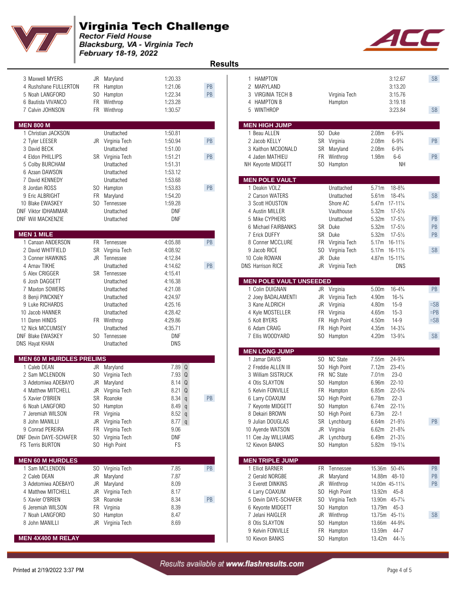

## Virginia Tech Challenge

**Rector Field House** Blacksburg, VA - Virginia Tech February 18-19, 2022

| ٠                                                                                 |     |                                                     |                                          |                     | <b>Results</b>                                              |                                |                                                              |           |
|-----------------------------------------------------------------------------------|-----|-----------------------------------------------------|------------------------------------------|---------------------|-------------------------------------------------------------|--------------------------------|--------------------------------------------------------------|-----------|
| 3 Maxwell MYERS<br>4 Rushshane FULLERTON<br>5 Noah LANGFORD<br>6 Bautista VIVANCO | SO  | JR Maryland<br>FR Hampton<br>Hampton<br>FR Winthrop | 1:20.33<br>1:21.06<br>1:22.34<br>1:23.28 | PB<br>$\mathsf{PB}$ | 1 HAMPTON<br>2 MARYLAND<br>3 VIRGINIA TECH B<br>4 HAMPTON B | Virginia Tech<br>Hampton       | 3:12.67<br>3:13.20<br>3:15.76<br>3:19.18                     | SB        |
| 7 Calvin JOHNSON                                                                  |     | FR Winthrop                                         | 1:30.57                                  |                     | WINTHROP<br>5                                               |                                | 3:23.84                                                      | <b>SB</b> |
| <b>MEN 800 M</b>                                                                  |     |                                                     |                                          |                     | <b>MEN HIGH JUMP</b>                                        |                                |                                                              |           |
| 1 Christian JACKSON                                                               |     | Unattached                                          | 1:50.81                                  |                     | 1 Beau ALLEN                                                | SO Duke                        | $6 - 9\frac{3}{4}$<br>2.08 <sub>m</sub>                      |           |
| 2 Tyler LEESER                                                                    |     | JR Virginia Tech                                    | 1:50.94                                  | PB                  | 2 Jacob KELLY                                               | SR Virginia                    | 2.08m<br>$6 - 9\frac{3}{4}$                                  | PB        |
| 3 David BECK                                                                      |     | Unattached                                          | 1:51.00                                  |                     | 3 Kaithon MCDONALD                                          | SR Maryland                    | $6 - 9\frac{3}{4}$<br>2.08 <sub>m</sub>                      |           |
| 4 Eldon PHILLIPS                                                                  |     | SR Virginia Tech                                    | 1:51.21                                  | PB                  | 4 Jaden MATHIEU                                             | FR Winthrop                    | $6-6$<br>1.98m                                               | PB        |
| 5 Colby BURCHAM<br>6 Azaan DAWSON                                                 |     | Unattached<br>Unattached                            | 1:51.31<br>1:53.12                       |                     | NH Keyonte MIDGETT                                          | SO Hampton                     | <b>NH</b>                                                    |           |
| 7 David KENNEDY                                                                   |     | Unattached                                          | 1:53.68                                  |                     | <b>MEN POLE VAULT</b>                                       |                                |                                                              |           |
| 8 Jordan ROSS                                                                     |     | SO Hampton                                          | 1:53.83                                  | PB                  | 1 Deakin VOLZ                                               | Unattached                     | $18 - 8\frac{3}{4}$<br>5.71m                                 |           |
| 9 Eric ALBRIGHT                                                                   |     | FR Maryland                                         | 1:54.20                                  |                     | 2 Carson WATERS                                             | Unattached                     | $18 - 4\frac{3}{4}$<br>5.61m                                 | SB        |
| 10 Blake EWASKEY                                                                  | SO. | Tennessee                                           | 1:59.28                                  |                     | 3 Scott HOUSTON                                             | Shore AC                       | 5.47m 17-111/4                                               |           |
| <b>DNF Viktor IDHAMMAR</b>                                                        |     | Unattached                                          | <b>DNF</b>                               |                     | 4 Austin MILLER                                             | Vaulthouse                     | 5.32m<br>$17 - 5\frac{1}{2}$                                 |           |
| DNF Will MACKENZIE                                                                |     | Unattached                                          | <b>DNF</b>                               |                     | 5 Mike CYPHERS                                              | Unattached                     | 5.32m<br>$17 - 5\frac{1}{2}$                                 | PB        |
| <b>MEN 1 MILE</b>                                                                 |     |                                                     |                                          |                     | 6 Michael FAIRBANKS<br>7 Erick DUFFY                        | SR Duke<br>SR<br>Duke          | 5.32m<br>$17 - 5\frac{1}{2}$<br>5.32m<br>$17 - 5\frac{1}{2}$ | PB<br>PB  |
| 1 Canaan ANDERSON                                                                 | FR. | Tennessee                                           | 4:05.88                                  | PB                  | 8 Conner MCCLURE                                            | FR<br>Virginia Tech            | $16 - 11\frac{1}{2}$<br>5.17m                                |           |
| 2 David WHITFIELD                                                                 |     | SR Virginia Tech                                    | 4:08.92                                  |                     | 9 Jacob RICE                                                | SO Virginia Tech               | 5.17m 16-111/2                                               | SB        |
| 3 Conner HAWKINS                                                                  |     | JR Tennessee                                        | 4:12.84                                  |                     | 10 Cole ROWAN                                               | <b>JR</b><br>Duke              | 4.87m 15-11 <sup>3</sup> / <sub>4</sub>                      |           |
| 4 Arnav TIKHE                                                                     |     | Unattached                                          | 4:14.62                                  | PB                  | <b>DNS Harrison RICE</b>                                    | JR<br>Virginia Tech            | <b>DNS</b>                                                   |           |
| 5 Alex CRIGGER                                                                    |     | <b>SR</b> Tennessee                                 | 4:15.41                                  |                     |                                                             |                                |                                                              |           |
| 6 Josh DAGGETT<br>7 Maxton SOWERS                                                 |     | Unattached<br>Unattached                            | 4:16.38<br>4:21.08                       |                     | <b>MEN POLE VAULT UNSEEDED</b><br>1 Colin DUIGNAN           | JR Virginia                    | 5.00m<br>$16 - 4\frac{3}{4}$                                 | PB        |
| 8 Benji PINCKNEY                                                                  |     | Unattached                                          | 4:24.97                                  |                     | 2 Joey BADALAMENTI                                          | JR<br>Virginia Tech            | 4.90m<br>$16-3/4$                                            |           |
| 9 Luke RICHARDS                                                                   |     | Unattached                                          | 4:25.16                                  |                     | 3 Kane ALDRICH                                              | JR<br>Virginia                 | $15 - 9$<br>4.80m                                            | $=SB$     |
| 10 Jacob HANNER                                                                   |     | Unattached                                          | 4:28.42                                  |                     | 4 Kyle MOSTELLER                                            | FR<br>Virginia                 | 4.65m<br>$15 - 3$                                            | $=$ PB    |
| 11 Daren HINDS                                                                    |     | FR Winthrop                                         | 4:29.86                                  |                     | 5 Kolt BYERS                                                | FR<br><b>High Point</b>        | $14-9$<br>4.50m                                              | $=$ SB    |
| 12 Nick MCCUMSEY                                                                  |     | Unattached                                          | 4:35.71                                  |                     | 6 Adam CRAIG                                                | FR<br><b>High Point</b>        | $14 - 3\frac{1}{4}$<br>4.35m                                 |           |
| <b>DNF Blake EWASKEY</b>                                                          |     | SO Tennessee<br>Unattached                          | <b>DNF</b><br>DNS                        |                     | 7 Ellis WOODYARD                                            | SO Hampton                     | 4.20m<br>$13 - 9\frac{1}{4}$                                 | SB        |
| DNS Hayat KHAN                                                                    |     |                                                     |                                          |                     | <b>MEN LONG JUMP</b>                                        |                                |                                                              |           |
| <b>MEN 60 M HURDLES PRELIMS</b>                                                   |     |                                                     |                                          |                     | 1 Jamar DAVIS                                               | SO NC State                    | $24 - 9\frac{1}{4}$<br>7.55m                                 |           |
| 1 Caleb DEAN                                                                      |     | JR Maryland                                         | 7.89 Q                                   |                     | 2 Freddie ALLEN III                                         | SO High Point                  | $23 - 4\frac{1}{2}$<br>7.12m                                 |           |
| 2 Sam MCLENDON                                                                    |     | SO Virginia Tech                                    | 7.93 Q                                   |                     | 3 William SISTRUCK                                          | FR NC State                    | $23 - 0$<br>7.01 <sub>m</sub>                                |           |
| 3 Adetomiwa ADEBAYO                                                               | JR  | Maryland                                            | 8.14 Q                                   |                     | 4 Otis SLAYTON                                              | SO.<br>Hampton                 | $22 - 10$<br>6.96 <sub>m</sub>                               |           |
| 4 Matthew MITCHELL<br>5 Xavier O'BRIEN                                            |     | JR Virginia Tech                                    | 8.21 Q<br>$8.34$ q                       | PB                  | 5 Kelvin FONVILLE<br>6 Larry COAXUM                         | FR Hampton<br>SO High Point    | 6.85m<br>$22 - 5\frac{3}{4}$<br>$22 - 3$<br>6.78m            |           |
| 6 Noah LANGFORD                                                                   |     | SR Roanoke<br>SO Hampton                            | 8.49q                                    |                     | 7 Keyonte MIDGETT                                           | SO Hampton                     | $22 - 1\frac{1}{2}$<br>6.74m                                 |           |
| 7 Jeremiah WILSON                                                                 |     | FR Virginia                                         | $8.52$ q                                 |                     | 8 Dekairi BROWN                                             | SO High Point                  | $22 - 1$<br>6.73m                                            |           |
| 8 John MANILLI                                                                    |     | JR Virginia Tech                                    | $8.77$ q                                 |                     | 9 Julian DOUGLAS                                            | SR Lynchburg                   | 6.64m<br>$21 - 9\frac{1}{2}$                                 | PB        |
| 9 Conrad PEREIRA                                                                  |     | FR Virginia Tech                                    | 9.06                                     |                     | 10 Ayende WATSON                                            | JR Virginia                    | 6.62m 21-8 <sup>3</sup> / <sub>4</sub>                       |           |
| DNF Devin DAYE-SCHAFER                                                            |     | SO Virginia Tech                                    | DNF                                      |                     | 11 Cee Jay WILLIAMS                                         | JR Lynchburg                   | 6.49m<br>$21 - 3\frac{1}{2}$                                 |           |
| FS Terris BURTON                                                                  |     | SO High Point                                       | FS                                       |                     | 12 Kievon BANKS                                             | SO Hampton                     | $19 - 1\frac{1}{4}$<br>5.82m                                 |           |
| <b>MEN 60 M HURDLES</b>                                                           |     |                                                     |                                          |                     | <b>MEN TRIPLE JUMP</b>                                      |                                |                                                              |           |
| 1 Sam MCLENDON                                                                    |     | SO Virginia Tech                                    | 7.85                                     | PB                  | 1 Elliot BARNER                                             | FR Tennessee                   | 15.36m 50-43/4                                               | PB        |
| 2 Caleb DEAN                                                                      |     | JR Maryland                                         | 7.87                                     |                     | 2 Gerald NORGBE                                             | JR<br>Maryland                 | 14.88m 48-10                                                 | PB        |
| 3 Adetomiwa ADEBAYO                                                               |     | JR Maryland                                         | 8.09                                     |                     | 3 Everett DINKINS                                           | JR Winthrop                    | 14.00m 45-111/4                                              | PB        |
| 4 Matthew MITCHELL                                                                |     | JR Virginia Tech                                    | 8.17                                     |                     | 4 Larry COAXUM                                              | SO High Point                  | 13.92m 45-8                                                  |           |
| 5 Xavier O'BRIEN<br>6 Jeremiah WILSON                                             |     | SR Roanoke<br>FR Virginia                           | 8.34<br>8.39                             | PB                  | 5 Devin DAYE-SCHAFER<br>6 Keyonte MIDGETT                   | SO Virginia Tech<br>SO Hampton | 13.90m 45-71/4<br>13.79m<br>$45 - 3$                         |           |
| 7 Noah LANGFORD                                                                   | SO  | Hampton                                             | 8.47                                     |                     | 7 Jelani HAIGLER                                            | JR Winthrop                    | 13.75m 45-11/2                                               | <b>SB</b> |
| 8 John MANILLI                                                                    |     | JR Virginia Tech                                    | 8.69                                     |                     | 8 Otis SLAYTON                                              | SO Hampton                     | 13.66m 44-93/4                                               |           |
|                                                                                   |     |                                                     |                                          |                     | 9 Kelvin FONVILLE                                           | FR Hampton                     | 13.59m<br>44-7                                               |           |
| <b>MEN 4X400 M RELAY</b>                                                          |     |                                                     |                                          |                     | 10 Kievon BANKS                                             | SO Hampton                     | 13.42m<br>$44 - \frac{1}{2}$                                 |           |



Printed at 2/19/2022 3:37 PM Page 4 of 5